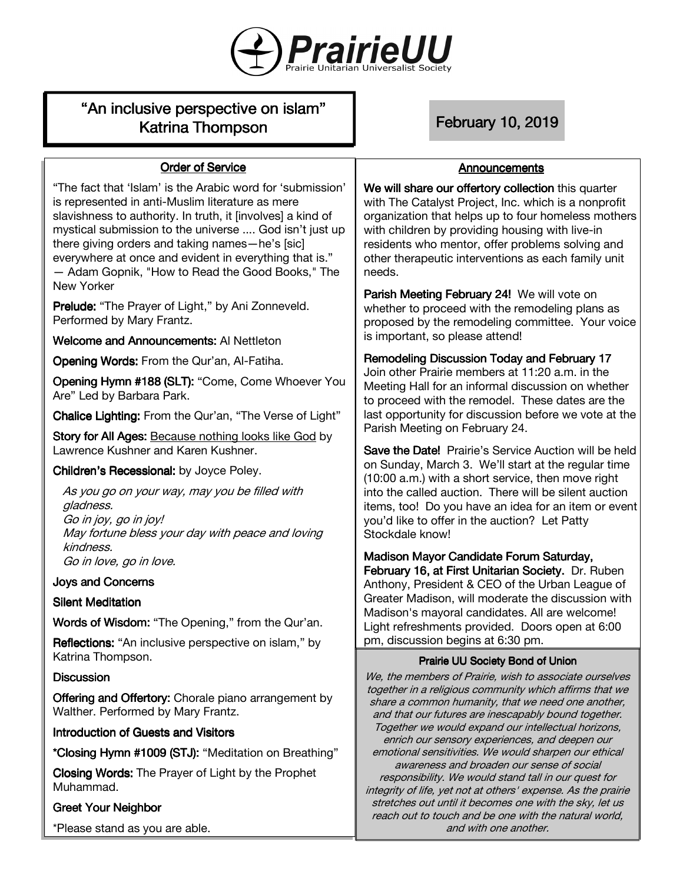

# "An inclusive perspective on islam" Katrina Thompson February 10, 2019

## **Order of Service**

"The fact that 'Islam' is the Arabic word for 'submission' is represented in anti-Muslim literature as mere slavishness to authority. In truth, it [involves] a kind of mystical submission to the universe .... God isn't just up there giving orders and taking names—he's [sic] everywhere at once and evident in everything that is." — Adam Gopnik, "How to Read the Good Books," The New Yorker

Prelude: "The Prayer of Light," by Ani Zonneveld. Performed by Mary Frantz.

Welcome and Announcements: Al Nettleton

OpeningWords: From the Qur'an, Al-Fatiha.

Opening Hymn #188 (SLT): "Come, Come Whoever You Are" Led by Barbara Park.

Chalice Lighting: From the Qur'an, "The Verse of Light"

Story for All Ages: Because nothing looks like God by Lawrence Kushner and Karen Kushner.

## Children's Recessional: by Joyce Poley.

As you go on your way, may you be filled with gladness. Go in joy, go in joy! May fortune bless your day with peace and loving kindness. Go in love, go in love.

## **Joys and Concerns**

#### **Silent Meditation**

Words of Wisdom: "The Opening," from the Qur'an.

Reflections: "An inclusive perspective on islam," by Katrina Thompson.

#### **Discussion**

**Offering and Offertory:** Chorale piano arrangement by Walther. Performed by Mary Frantz.

## Introduction of Guests and Visitors

\*Closing Hymn #1009 (STJ): "Meditation on Breathing"

ClosingWords: The Prayer of Light by the Prophet Muhammad.

## **Greet Your Neighbor**

\*Please stand as you are able.

#### **Announcements**

We will share our offertory collection this quarter with The Catalyst Project, Inc. which is a nonprofit organization that helps up to four homeless mothers with children by providing housing with live-in residents who mentor, offer problems solving and other therapeutic interventions as each family unit needs.

Parish Meeting February 24! We will vote on whether to proceed with the remodeling plans as proposed by the remodeling committee. Your voice is important, so please attend!

#### Remodeling Discussion Today and February 17

Join other Prairie members at 11:20 a.m. in the Meeting Hall for an informal discussion on whether to proceed with the remodel. These dates are the last opportunity for discussion before we vote at the Parish Meeting on February 24.

Save the Date! Prairie's Service Auction will be held on Sunday, March 3. We'll start at the regular time (10:00 a.m.) with a short service, then move right into the called auction. There will be silent auction items, too! Do you have an idea for an item or event you'd like to offer in the auction? Let Patty Stockdale know!

Madison Mayor Candidate Forum Saturday, February 16, at First Unitarian Society. Dr. Ruben Anthony, President & CEO of the Urban League of Greater Madison, will moderate the discussion with Madison's mayoral candidates. All are welcome! Light refreshments provided. Doors open at 6:00 pm, discussion begins at 6:30 pm.

#### Prairie UU Society Bond of Union

We, the members of Prairie, wish to associate ourselves together in a religious community which affirms that we share a common humanity, that we need one another, and that our futures are inescapably bound together. Together we would expand our intellectual horizons, enrich our sensory experiences, and deepen our emotional sensitivities. We would sharpen our ethical awareness and broaden our sense of social responsibility. We would stand tall in our quest for integrity of life, yet not at others' expense. As the prairie stretches out until it becomes one with the sky, let us reach out to touch and be one with the natural world, and with one another.